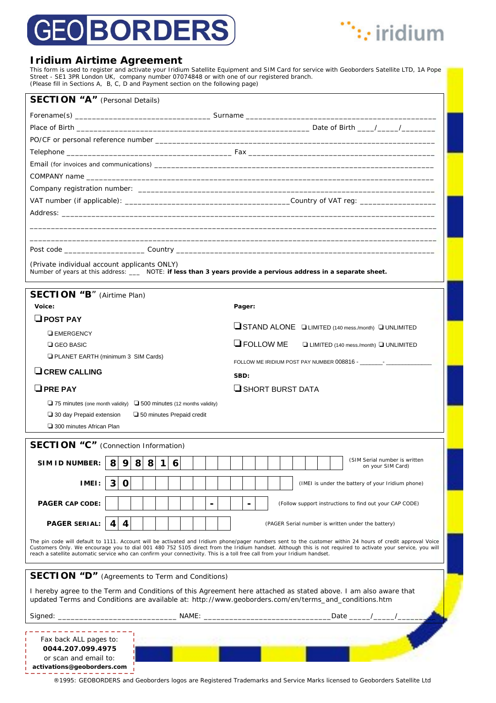# **GEO BORDERS**



### **Iridium Airtime Agreement**

This form is used to register and activate your Iridium Satellite Equipment and SIM Card for service with Geoborders Satellite LTD, 1A Pope Street - SE1 3PR London UK, company number 07074848 or with one of our registered branch. (Please fill in Sections A, B, C, D and Payment section on the following page)

| <b>SECTION "A"</b> (Personal Details)                                                                                                                                                                                                                                                                                                                                                                                                                   |                                                                                                                         |  |
|---------------------------------------------------------------------------------------------------------------------------------------------------------------------------------------------------------------------------------------------------------------------------------------------------------------------------------------------------------------------------------------------------------------------------------------------------------|-------------------------------------------------------------------------------------------------------------------------|--|
|                                                                                                                                                                                                                                                                                                                                                                                                                                                         |                                                                                                                         |  |
|                                                                                                                                                                                                                                                                                                                                                                                                                                                         |                                                                                                                         |  |
|                                                                                                                                                                                                                                                                                                                                                                                                                                                         |                                                                                                                         |  |
|                                                                                                                                                                                                                                                                                                                                                                                                                                                         |                                                                                                                         |  |
|                                                                                                                                                                                                                                                                                                                                                                                                                                                         |                                                                                                                         |  |
|                                                                                                                                                                                                                                                                                                                                                                                                                                                         |                                                                                                                         |  |
|                                                                                                                                                                                                                                                                                                                                                                                                                                                         |                                                                                                                         |  |
|                                                                                                                                                                                                                                                                                                                                                                                                                                                         |                                                                                                                         |  |
|                                                                                                                                                                                                                                                                                                                                                                                                                                                         |                                                                                                                         |  |
|                                                                                                                                                                                                                                                                                                                                                                                                                                                         |                                                                                                                         |  |
|                                                                                                                                                                                                                                                                                                                                                                                                                                                         |                                                                                                                         |  |
|                                                                                                                                                                                                                                                                                                                                                                                                                                                         |                                                                                                                         |  |
| (Private individual account applicants ONLY)<br>Number of years at this address: ___ NOTE: if less than 3 years provide a pervious address in a separate sheet.                                                                                                                                                                                                                                                                                         |                                                                                                                         |  |
| <b>SECTION "B"</b> (Airtime Plan)                                                                                                                                                                                                                                                                                                                                                                                                                       |                                                                                                                         |  |
| Voice:                                                                                                                                                                                                                                                                                                                                                                                                                                                  | Pager:                                                                                                                  |  |
| $\Box$ POST PAY                                                                                                                                                                                                                                                                                                                                                                                                                                         |                                                                                                                         |  |
| <b>EMERGENCY</b>                                                                                                                                                                                                                                                                                                                                                                                                                                        | STAND ALONE DLIMITED (140 mess./month) DUNLIMITED                                                                       |  |
| $\Box$ GEO BASIC                                                                                                                                                                                                                                                                                                                                                                                                                                        | $\Box$ FOLLOW ME<br>□ LIMITED (140 mess./month) □ UNLIMITED                                                             |  |
| <b>Q PLANET EARTH (minimum 3 SIM Cards)</b>                                                                                                                                                                                                                                                                                                                                                                                                             | FOLLOW ME IRIDIUM POST PAY NUMBER 008816 - PARTICLE PARTICLE PAY                                                        |  |
| $\Box$ CREW CALLING                                                                                                                                                                                                                                                                                                                                                                                                                                     | SBD:                                                                                                                    |  |
|                                                                                                                                                                                                                                                                                                                                                                                                                                                         |                                                                                                                         |  |
| $\Box$ PRE PAY<br>SHORT BURST DATA                                                                                                                                                                                                                                                                                                                                                                                                                      |                                                                                                                         |  |
| $\Box$ 75 minutes (one month validity) $\Box$ 500 minutes (12 months validity)                                                                                                                                                                                                                                                                                                                                                                          |                                                                                                                         |  |
| $\Box$ 30 day Prepaid extension<br>50 minutes Prepaid credit                                                                                                                                                                                                                                                                                                                                                                                            |                                                                                                                         |  |
| □ 300 minutes African Plan                                                                                                                                                                                                                                                                                                                                                                                                                              |                                                                                                                         |  |
| <b>SECTION "C"</b> (Connection Information)                                                                                                                                                                                                                                                                                                                                                                                                             |                                                                                                                         |  |
| SIM ID NUMBER: $ 8 9 8 8 16 $                                                                                                                                                                                                                                                                                                                                                                                                                           | (SIM Serial number is written<br>on your SIM Card)                                                                      |  |
| IMEI:<br>3<br>0                                                                                                                                                                                                                                                                                                                                                                                                                                         | (IMEI is under the battery of your Iridium phone)                                                                       |  |
|                                                                                                                                                                                                                                                                                                                                                                                                                                                         |                                                                                                                         |  |
| <b>PAGER CAP CODE:</b>                                                                                                                                                                                                                                                                                                                                                                                                                                  | (Follow support instructions to find out your CAP CODE)                                                                 |  |
| <b>PAGER SERIAL:</b><br>4<br>(PAGER Serial number is written under the battery)                                                                                                                                                                                                                                                                                                                                                                         |                                                                                                                         |  |
| The pin code will default to 1111. Account will be activated and Iridium phone/pager numbers sent to the customer within 24 hours of credit approval Voice<br>Customers Only. We encourage you to dial 001 480 752 5105 direct from the Iridium handset. Although this is not required to activate your service, you will<br>reach a satellite automatic service who can confirm your connectivity. This is a toll free call from your Iridium handset. |                                                                                                                         |  |
| <b>SECTION "D"</b> (Agreements to Term and Conditions)                                                                                                                                                                                                                                                                                                                                                                                                  |                                                                                                                         |  |
| I hereby agree to the Term and Conditions of this Agreement here attached as stated above. I am also aware that<br>updated Terms and Conditions are available at: http://www.geoborders.com/en/terms_and_conditions.htm                                                                                                                                                                                                                                 |                                                                                                                         |  |
|                                                                                                                                                                                                                                                                                                                                                                                                                                                         | _Date ___                                                                                                               |  |
| Fax back ALL pages to:<br>0044.207.099.4975<br>or scan and email to:<br>activations@geoborders.com                                                                                                                                                                                                                                                                                                                                                      |                                                                                                                         |  |
|                                                                                                                                                                                                                                                                                                                                                                                                                                                         | ®1995: GEOBORDERS and Geoborders logos are Registered Trademarks and Service Marks licensed to Geoborders Satellite Ltd |  |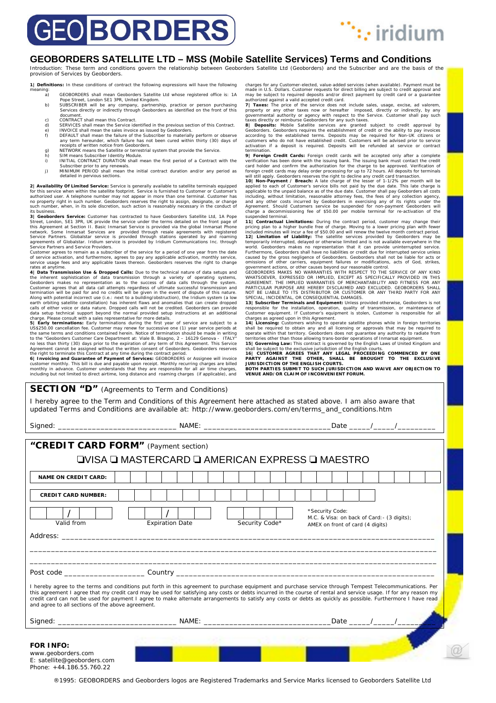# **GEO BORDERS**



#### **GEOBORDERS SATELLITE LTD – MSS (Mobile Satellite Services) Terms and Conditions**

Introduction: These term and conditions govern the relationship between Geoborders Satellite Ltd (Geoborders) and the Subscriber and are the basis of the provision of Services by Geoborders.

**1| Definitions:** In these conditions of contract the following expressions will have the following aning:<br>a) a) GEOBORDERS shall mean Geoborders Satellite Ltd whose registered office is: 1A

- 
- Pope Street, London SE1 3PR, United Kingdom. b) SUBSCRIBER will be any company, partnership, practice or person purchasing Services directly or indirectly through Geoborders as identified on the front of this document.
- c) CONTRACT shall mean this Contract<br>d) SERVICES shall mean the Service id
- strativices shall mean the service identified in the previous section of this Contract.<br>
INVOICE shall mean the sales invoice as issued by Geoborders.<br>
DEFAULT shall mean the failure of the Subscriber to materially perform
- g) NETWORK means the Satellite or terrestrial system that provide the Service.<br>h) SIM means Subscriber Identity Module.
- h) SIM means Subscriber Identity Module.<br>i) INITIAL CONTRACT DURATION shall n i) INITIAL CONTRACT DURATION shall mean the first period of a Contract with the
- Subscriber prior to any renewals. j) MINIMUM PERIOD shall mean the initial contract duration and/or any period as detailed in pervious sections.

**2) Availability Of Limited Service:** Service is generally available to satellite terminals equipped<br>for this service when within the satellite footprint. Service is furnished to Customer or Customer's<br>authorized user. A t its business.

**3| Geoborders Service:** Customer has contracted to have Geoborders Satellite Ltd, 1A Pope Street, London, SE1 3PR, UK provide the service under the terms detailed on the front page of this Agreement at Section II. Basic Inmarsat Service is provided via the global Inmarsat Pone<br>relation chement and services are Service Partners and Service Providers.

Customer agrees to remain as a subscriber of the service for a period of one year from the date<br>of service activation, and furthermore, agrees to pay any applicable activation, monthly service,<br>service usage fees and any a rates at anytime.

**4| Data Transmission Use & Dropped Calls:** Due to the technical nature of data setups and the inherent sophistication of data transmission through a variety of operating systems, Geoborders makes no representation as to the success of data calls through the system.<br>Customer agrees that all data call attempts re

data setup technical support beyond the normal provided setup instructions at an additional<br>charge. Please consult with a sales representative for more details.<br>**5** | Early terminations: Early terminations during the first to the "Geoborders Customer Care Department at: Viale B. Bisagno, 2 – 16129 Genova - ITALY"<br>no less than thirty (30) days prior to the expiration of any term of this Agreement. This Service<br>Agreement cannot be assigned wit

customer monthly. This bill is due and payable upon receipt. Monthly recurring charges are billed<br>monthly in advance. Customer understands that they are responsible for all air time charges,<br>including but not limited to di

charges for any Customer-elected, value-added services (when available). Payment must be made in U.S. Dollars. Customer requests for direct billing are subject to credit approval and may be subject to required deposits and/or direct payment by credit card or a guarantee

may be subject to required deposits and/or direct payment by credit card or a guarantee<br>authorized against a valid accepted credit crad.<br>**7| Taxes:** The price of the service does not include sales, usage, excise, ad valore

fermination.<br>The priority and condition and condition of the insulng bank must condite the medical property<br>Foreign Credit Cards: Foreign credit cards will be accepted only after a credit<br>card holder and confirm the author

11| Contractual Limitations: During the contract period, customer may change their<br>pricing plan to a higher bundle free of charge. Moving to a lower pricing plan with fewer<br>included minutes will incur a fee of \$50.00 and w world. Geoborders makes no representation that it can provide uninterrupted service.<br>Furthermore, Geoborders shall have no liabilities or credit due for interrupted service unless<br>caused by the gross negligence of Geoborde

WHATSOEVER, EXPRESSED OR IMPLIED, EXCEPT AS SPECIFICALLY PROVIDED IN THIS<br>AGREEMENT. THE IMPLIED WARRANTIES OF MERCHANTABILITY AND FITNESS FOR ANY<br>PARTICULAR PURPOSE ARE HEREBY DISCLAIMED AND EXCLUDED. GEOBORDERS SHALL<br>NOT

**13| Subscriber Terminals and Equipment:** Unless provided otherwise, Geoborders is not responsible for the installation, operation, quality of transmission, or maintenance of

Customer equipment. If Customer's equipment is stolen, Customer is responsible for all<br>charges as agreed upon in this Agreement.<br>14| Licensing: Customers wishing to operate satellite phones while in foreign territories<br>sha

territories other than those allowing trans-border operations of Inmarsat equipment.<br>15 | Governing Law: This contract is governed by the English Laws of United Kingdom and<br>shall be subject to the exclusive jurisdiction of

**BOTH PARTIES SUBMIT TO SUCH JURISDICTION AND WAIVE ANY OBJECTION TO VENUE AND/OR CLAIM OF INCONVENIENT FORUM.** 

| <b>SECTION "D"</b> (Agreements to Term and Conditions)                                                                                                                                                                                                                                                                                                                                                                                                                                         |                |                                                                                 |  |
|------------------------------------------------------------------------------------------------------------------------------------------------------------------------------------------------------------------------------------------------------------------------------------------------------------------------------------------------------------------------------------------------------------------------------------------------------------------------------------------------|----------------|---------------------------------------------------------------------------------|--|
| I hereby agree to the Term and Conditions of this Agreement here attached as stated above. I am also aware that                                                                                                                                                                                                                                                                                                                                                                                |                |                                                                                 |  |
| updated Terms and Conditions are available at: http://www.geoborders.com/en/terms_and_conditions.htm                                                                                                                                                                                                                                                                                                                                                                                           |                |                                                                                 |  |
|                                                                                                                                                                                                                                                                                                                                                                                                                                                                                                |                |                                                                                 |  |
|                                                                                                                                                                                                                                                                                                                                                                                                                                                                                                |                |                                                                                 |  |
| "CREDIT CARD FORM" (Payment section)                                                                                                                                                                                                                                                                                                                                                                                                                                                           |                |                                                                                 |  |
| <b>⊒VISA ⊒ MASTERCARD ⊒ AMERICAN EXPRESS ⊒ MAESTRO</b>                                                                                                                                                                                                                                                                                                                                                                                                                                         |                |                                                                                 |  |
| <b>NAME ON CREDIT CARD:</b>                                                                                                                                                                                                                                                                                                                                                                                                                                                                    |                |                                                                                 |  |
|                                                                                                                                                                                                                                                                                                                                                                                                                                                                                                |                |                                                                                 |  |
| <b>CREDIT CARD NUMBER:</b>                                                                                                                                                                                                                                                                                                                                                                                                                                                                     |                |                                                                                 |  |
| *Security Code:                                                                                                                                                                                                                                                                                                                                                                                                                                                                                |                |                                                                                 |  |
| Valid from<br><b>Expiration Date</b>                                                                                                                                                                                                                                                                                                                                                                                                                                                           | Security Code* | M.C. & Visa: on back of Card: - (3 digits);<br>AMEX on front of card (4 digits) |  |
| Address: Address: Address: Address: Address: Address: Address: Address: Address: Address: Address: Address: Address: Address: Address: Address: Address: Address: Address: Address: Address: Address: Address: Address: Addres                                                                                                                                                                                                                                                                 |                |                                                                                 |  |
|                                                                                                                                                                                                                                                                                                                                                                                                                                                                                                |                |                                                                                 |  |
|                                                                                                                                                                                                                                                                                                                                                                                                                                                                                                |                |                                                                                 |  |
|                                                                                                                                                                                                                                                                                                                                                                                                                                                                                                |                |                                                                                 |  |
|                                                                                                                                                                                                                                                                                                                                                                                                                                                                                                |                |                                                                                 |  |
| I hereby agree to the terms and conditions put forth in this agreement to purchase equipment and purchase service through Tempest Telecommunications. Per<br>this agreement I agree that my credit card may be used for satisfying any costs or debts incurred in the course of rental and service usage. If for any reason my<br>credit card can not be used for payment I agree to make alternate arrangements to satisfy any costs or debts as quickly as possible. Furthermore I have read |                |                                                                                 |  |
| and agree to all sections of the above agreement.                                                                                                                                                                                                                                                                                                                                                                                                                                              |                |                                                                                 |  |
|                                                                                                                                                                                                                                                                                                                                                                                                                                                                                                |                |                                                                                 |  |
|                                                                                                                                                                                                                                                                                                                                                                                                                                                                                                |                |                                                                                 |  |
|                                                                                                                                                                                                                                                                                                                                                                                                                                                                                                |                |                                                                                 |  |
| <b>FOR INFO:</b><br>www.geoborders.com                                                                                                                                                                                                                                                                                                                                                                                                                                                         |                |                                                                                 |  |
| E: satellite@geoborders.com<br>Phone: +44 186 55 760 22                                                                                                                                                                                                                                                                                                                                                                                                                                        |                |                                                                                 |  |

®1995: GEOBORDERS and Geoborders logos are Registered Trademarks and Service Marks licensed to Geoborders Satellite Ltd